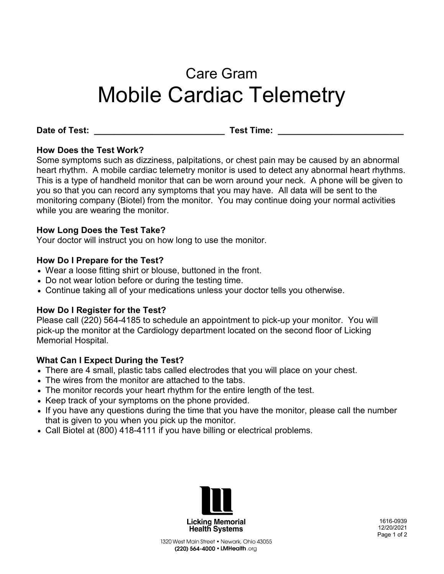# Care Gram Mobile Cardiac Telemetry

Date of Test: **Example 20 and Test Time:** Test Time:

# **How Does the Test Work?**

Some symptoms such as dizziness, palpitations, or chest pain may be caused by an abnormal heart rhythm. A mobile cardiac telemetry monitor is used to detect any abnormal heart rhythms. This is a type of handheld monitor that can be worn around your neck. A phone will be given to you so that you can record any symptoms that you may have. All data will be sent to the monitoring company (Biotel) from the monitor. You may continue doing your normal activities while you are wearing the monitor.

## **How Long Does the Test Take?**

Your doctor will instruct you on how long to use the monitor.

## **How Do I Prepare for the Test?**

- Wear a loose fitting shirt or blouse, buttoned in the front.
- Do not wear lotion before or during the testing time.
- Continue taking all of your medications unless your doctor tells you otherwise.

## **How Do I Register for the Test?**

Please call (220) 564-4185 to schedule an appointment to pick-up your monitor. You will pick-up the monitor at the Cardiology department located on the second floor of Licking Memorial Hospital.

# **What Can I Expect During the Test?**

- There are 4 small, plastic tabs called electrodes that you will place on your chest.
- The wires from the monitor are attached to the tabs.
- The monitor records your heart rhythm for the entire length of the test.
- Keep track of your symptoms on the phone provided.
- If you have any questions during the time that you have the monitor, please call the number that is given to you when you pick up the monitor.
- Call Biotel at (800) 418-4111 if you have billing or electrical problems.



1616-0939 12/20/2021 Page 1 of 2